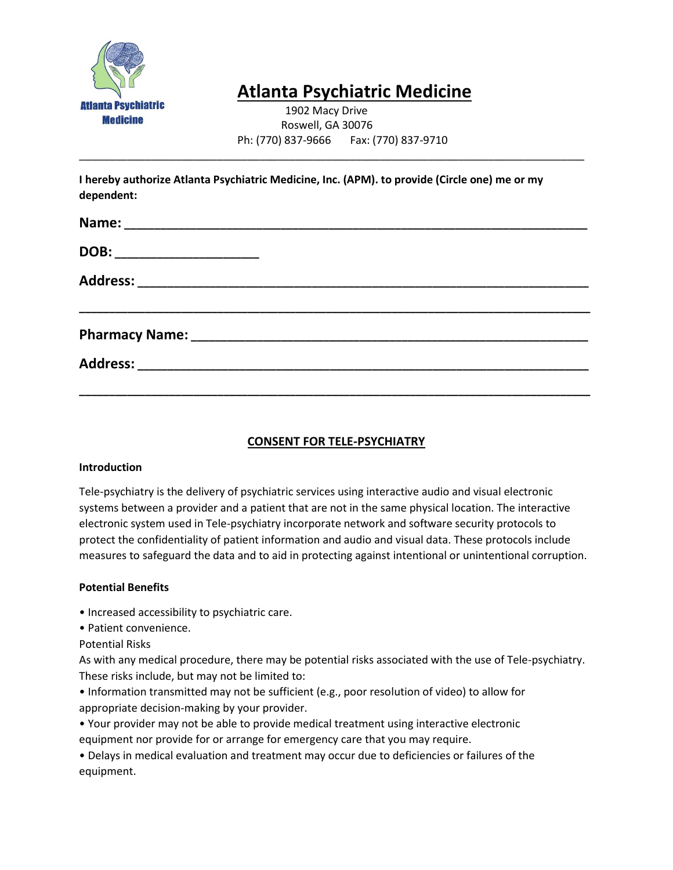

# **Atlanta Psychiatric Medicine**

 1902 Macy Drive Roswell, GA 30076 Ph: (770) 837-9666 Fax: (770) 837-9710

\_\_\_\_\_\_\_\_\_\_\_\_\_\_\_\_\_\_\_\_\_\_\_\_\_\_\_\_\_\_\_\_\_\_\_\_\_\_\_\_\_\_\_\_\_\_\_\_\_\_\_\_\_\_\_\_\_\_\_\_\_\_\_\_\_\_\_\_\_\_\_\_\_\_\_\_\_\_\_\_\_\_\_\_

**I hereby authorize Atlanta Psychiatric Medicine, Inc. (APM). to provide (Circle one) me or my dependent:**

| DOB: ______________________ |  |
|-----------------------------|--|
|                             |  |
|                             |  |
|                             |  |

# **CONSENT FOR TELE-PSYCHIATRY**

### **Introduction**

Tele-psychiatry is the delivery of psychiatric services using interactive audio and visual electronic systems between a provider and a patient that are not in the same physical location. The interactive electronic system used in Tele-psychiatry incorporate network and software security protocols to protect the confidentiality of patient information and audio and visual data. These protocols include measures to safeguard the data and to aid in protecting against intentional or unintentional corruption.

### **Potential Benefits**

- Increased accessibility to psychiatric care.
- Patient convenience.

Potential Risks

As with any medical procedure, there may be potential risks associated with the use of Tele-psychiatry. These risks include, but may not be limited to:

- Information transmitted may not be sufficient (e.g., poor resolution of video) to allow for appropriate decision-making by your provider.
- Your provider may not be able to provide medical treatment using interactive electronic equipment nor provide for or arrange for emergency care that you may require.
- Delays in medical evaluation and treatment may occur due to deficiencies or failures of the equipment.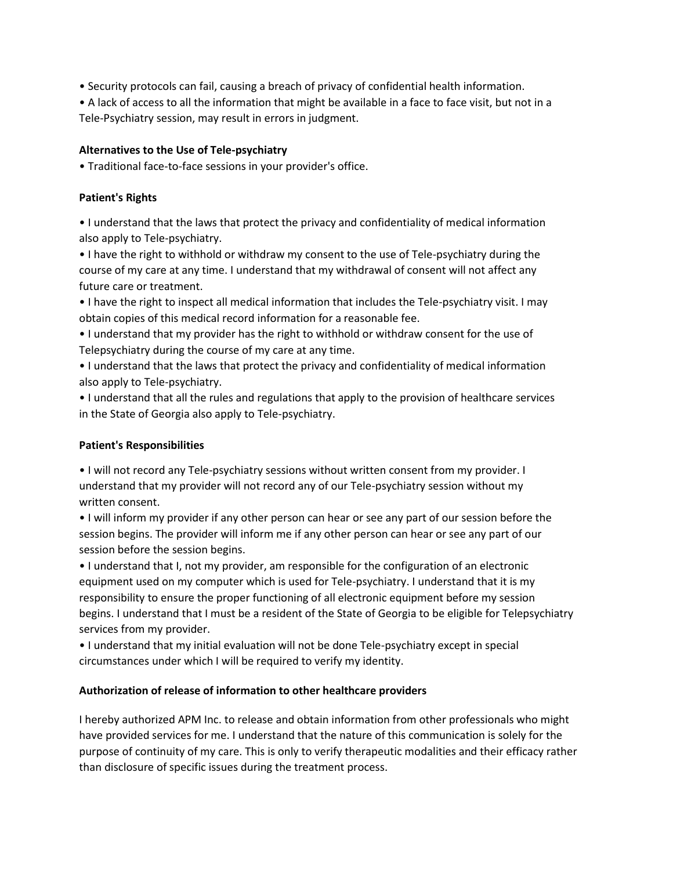- Security protocols can fail, causing a breach of privacy of confidential health information.
- A lack of access to all the information that might be available in a face to face visit, but not in a Tele-Psychiatry session, may result in errors in judgment.

# **Alternatives to the Use of Tele-psychiatry**

• Traditional face-to-face sessions in your provider's office.

## **Patient's Rights**

• I understand that the laws that protect the privacy and confidentiality of medical information also apply to Tele-psychiatry.

• I have the right to withhold or withdraw my consent to the use of Tele-psychiatry during the course of my care at any time. I understand that my withdrawal of consent will not affect any future care or treatment.

• I have the right to inspect all medical information that includes the Tele-psychiatry visit. I may obtain copies of this medical record information for a reasonable fee.

• I understand that my provider has the right to withhold or withdraw consent for the use of Telepsychiatry during the course of my care at any time.

• I understand that the laws that protect the privacy and confidentiality of medical information also apply to Tele-psychiatry.

• I understand that all the rules and regulations that apply to the provision of healthcare services in the State of Georgia also apply to Tele-psychiatry.

### **Patient's Responsibilities**

• I will not record any Tele-psychiatry sessions without written consent from my provider. I understand that my provider will not record any of our Tele-psychiatry session without my written consent.

• I will inform my provider if any other person can hear or see any part of our session before the session begins. The provider will inform me if any other person can hear or see any part of our session before the session begins.

• I understand that I, not my provider, am responsible for the configuration of an electronic equipment used on my computer which is used for Tele-psychiatry. I understand that it is my responsibility to ensure the proper functioning of all electronic equipment before my session begins. I understand that I must be a resident of the State of Georgia to be eligible for Telepsychiatry services from my provider.

• I understand that my initial evaluation will not be done Tele-psychiatry except in special circumstances under which I will be required to verify my identity.

### **Authorization of release of information to other healthcare providers**

I hereby authorized APM Inc. to release and obtain information from other professionals who might have provided services for me. I understand that the nature of this communication is solely for the purpose of continuity of my care. This is only to verify therapeutic modalities and their efficacy rather than disclosure of specific issues during the treatment process.